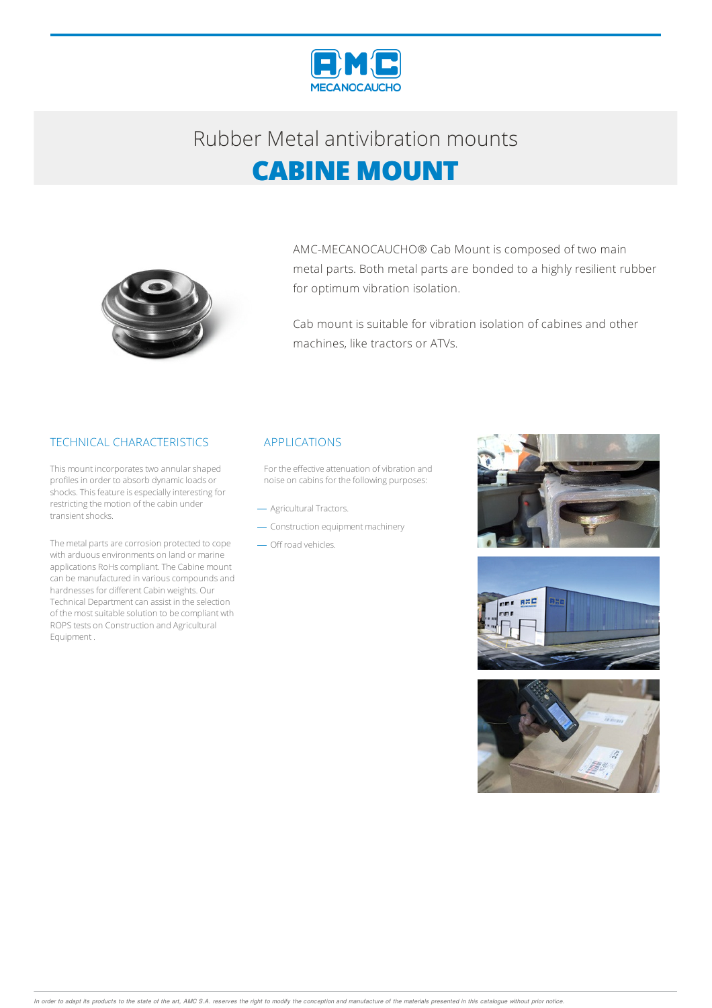

## Rubber Metalantivibration mounts **CABINE MOUNT**



AMC-MECANOCAUCHO® Cab Mount is composed of two main metal parts. Both metal parts are bonded to a highly resilient rubber for optimum vibration isolation.

Cab mount is suitable for vibration isolation of cabines and other machines, like tractors or ATVs.

#### TECHNICAL CHARACTERISTICS

This mount incorporates two annular shaped profiles in order to absorb dynamic loads or shocks. This feature is especially interesting for restricting the motion of the cabin under transient shocks.

The metal parts are corrosion protected to cope with arduous environments on land or marine applications RoHs compliant. The Cabine mount can be manufactured in various compounds and hardnesses for different Cabin weights. Our Technical Department can assist in the selection of the most suitable solution to be compliant wth ROPStests on Construction and Agricultural Equipment .

#### APPLICATIONS

For the effective attenuation of vibration and noise on cabins for the following purposes:

- Agricultural Tractors.
- Construction equipment machinery
- Off road vehicles.





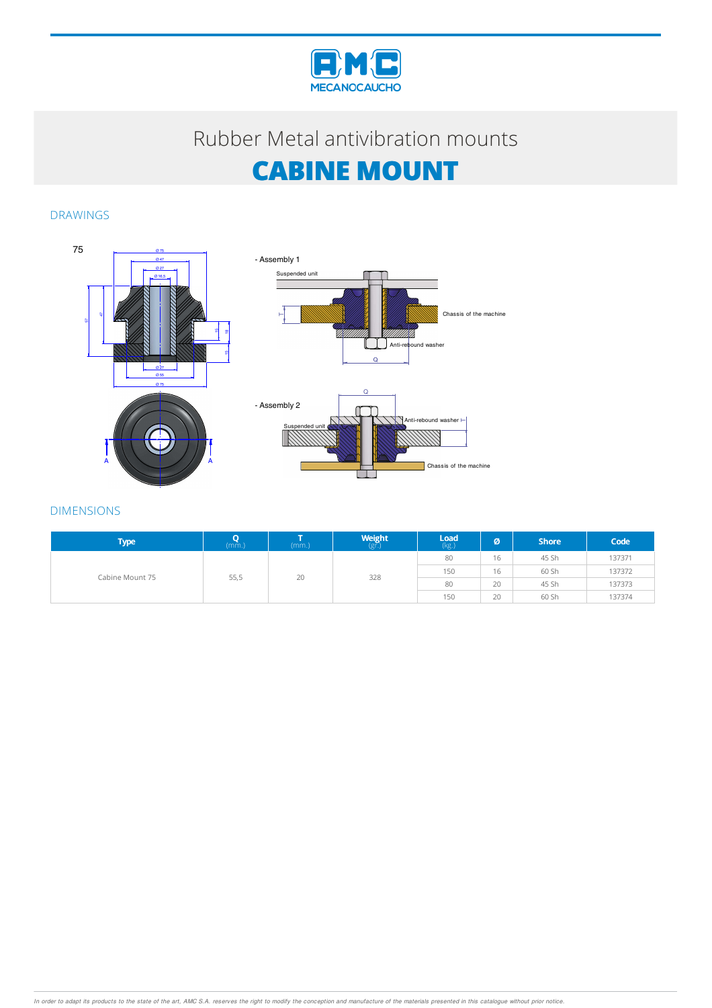

### Rubber Metalantivibration mounts

# **CABINE MOUNT**

#### DRAWINGS



| <b>Type</b>     | (mm.) | (mm.) | <b>Weight</b><br>(gr. | $\mathsf{Load}$<br>$(kg.)$ | ø  | <b>Shore</b> | Code   |
|-----------------|-------|-------|-----------------------|----------------------------|----|--------------|--------|
| Cabine Mount 75 |       | 20    | 328                   | 80                         | 16 | 45 Sh        | 137371 |
|                 |       |       |                       | 150                        | 16 | 60 Sh        | 137372 |
|                 | 55,5  |       |                       | 80                         | 20 | 45 Sh        | 137373 |
|                 |       |       |                       | 150                        | 20 | 60 Sh        | 137374 |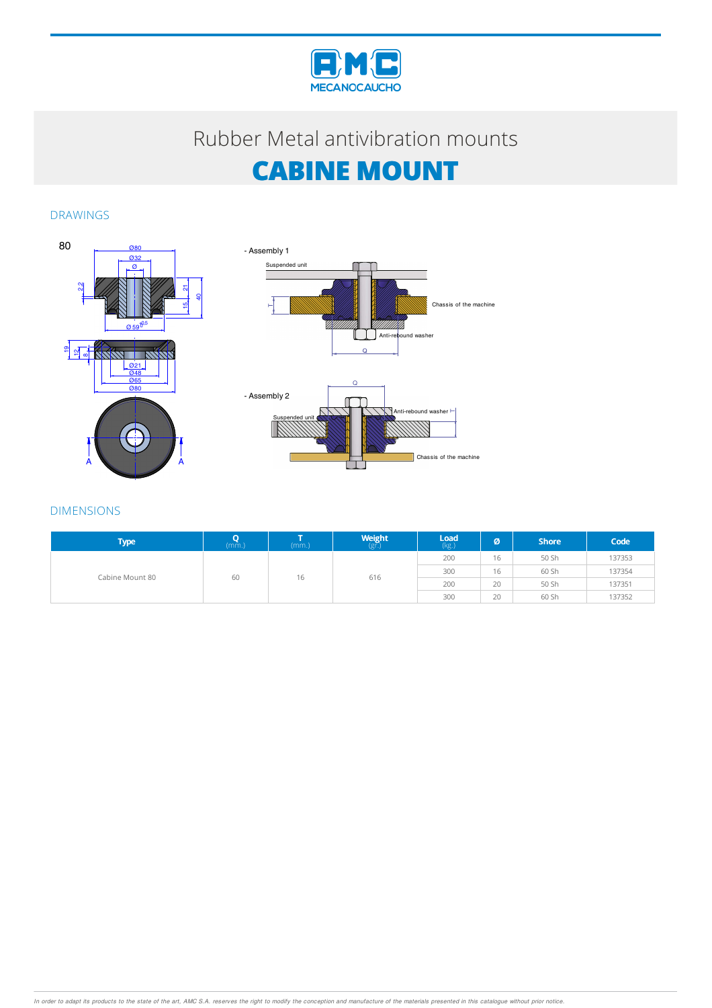

### Rubber Metalantivibration mounts

# **CABINE MOUNT**

DRAWINGS





| <b>Type</b>     | (mm.) | (mm.) | $W$ eight | $\mathsf{Load}$ (kg.) | ø  | <b>Shore</b> | Code   |
|-----------------|-------|-------|-----------|-----------------------|----|--------------|--------|
| Cabine Mount 80 | 60    | 16    | 616       | 200                   | 16 | 50 Sh        | 137353 |
|                 |       |       |           | 300                   | 16 | 60 Sh        | 137354 |
|                 |       |       |           | 200                   | 20 | 50 Sh        | 137351 |
|                 |       |       |           | 300                   | 20 | 60 Sh        | 137352 |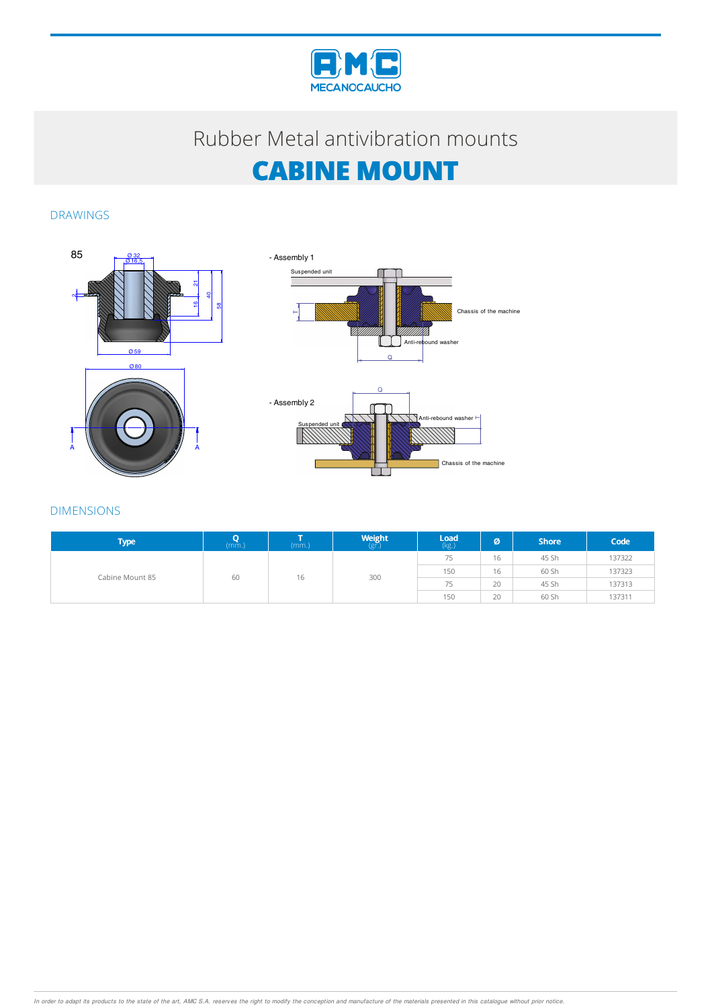

### Rubber Metalantivibration mounts

## **CABINE MOUNT**

### DRAWINGS





| <b>Type</b>     | (mm.) | (mm.) | <b>Weight</b><br>(gr. | $\mathsf{Load}$ (kg.) | Ø  | <b>Shore</b> | Code   |
|-----------------|-------|-------|-----------------------|-----------------------|----|--------------|--------|
| Cabine Mount 85 | 60    | 16    | 300                   | 75                    | 16 | 45 Sh        | 137322 |
|                 |       |       |                       | 150                   | 16 | 60 Sh        | 137323 |
|                 |       |       |                       | 75                    | 20 | 45 Sh        | 137313 |
|                 |       |       |                       | 150                   | 20 | 60 Sh        | 137311 |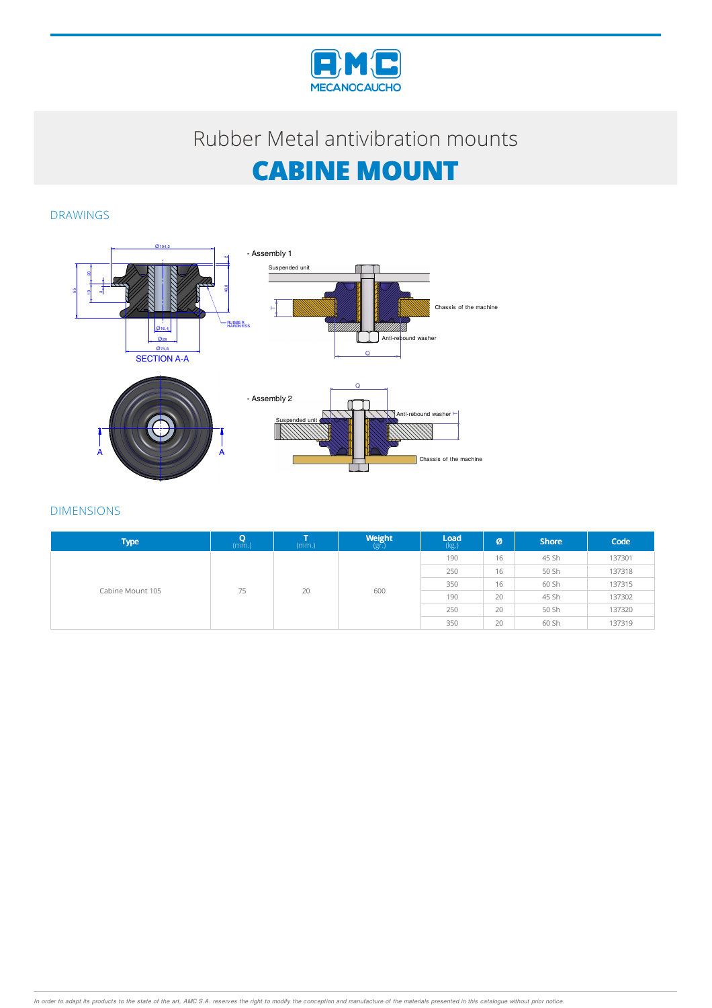

## Rubber Metal antivibration mounts

# **CABINE MOUNT**

DRAWINGS



| <b>Type</b>      | $(m\tilde{m})$ | (mm.)                                                                                             | $\begin{array}{c}\textbf{Weight} \\ \textbf{(g)}\end{array}$ | <b>Load</b><br>(kg.) | Ø  | <b>Shore</b> | Code   |
|------------------|----------------|---------------------------------------------------------------------------------------------------|--------------------------------------------------------------|----------------------|----|--------------|--------|
| Cabine Mount 105 |                | 190<br>16<br>45 Sh<br>250<br>16<br>50 Sh<br>350<br>60 Sh<br>16<br>20<br>600<br>20<br>190<br>45 Sh |                                                              |                      |    |              | 137301 |
|                  |                |                                                                                                   |                                                              |                      |    |              | 137318 |
|                  | 75             |                                                                                                   |                                                              | 137315               |    |              |        |
|                  |                |                                                                                                   |                                                              |                      |    |              | 137302 |
|                  |                |                                                                                                   |                                                              | 250                  | 20 | 50 Sh        | 137320 |
|                  |                |                                                                                                   |                                                              | 350                  | 20 | 60 Sh        | 137319 |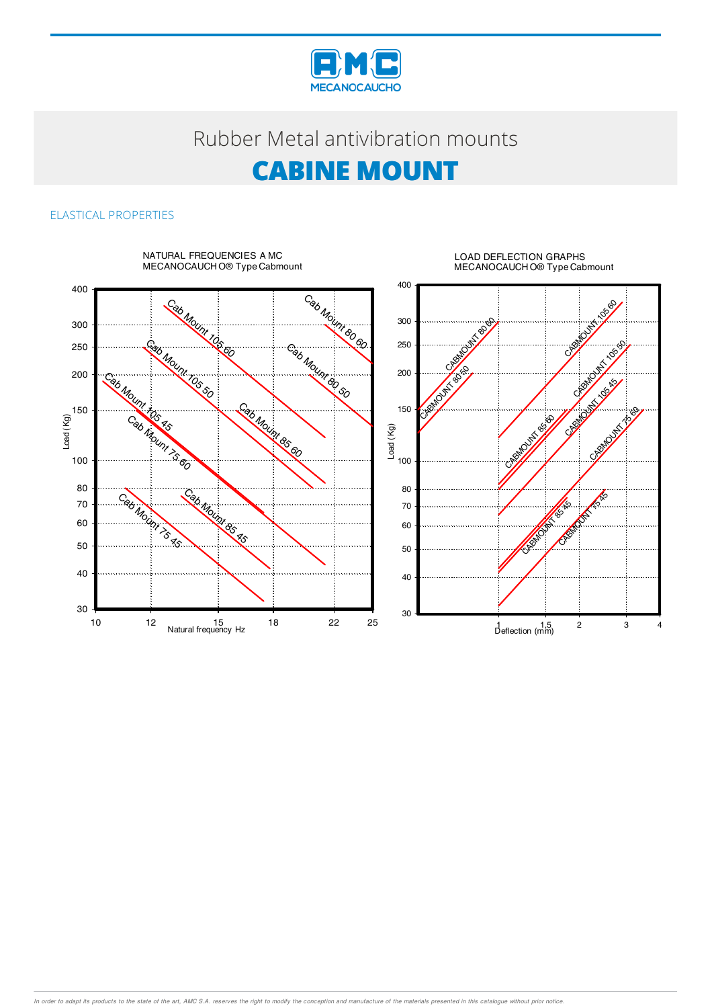

## Rubber Metal antivibration mounts

## **CABINE MOUNT**

### ELASTICAL PROPERTIES



In order to adapt its products to the state of the art, AMC S.A. reserves the right to modify the conception and manufacture of the materials presented in this catalogue without prior notice.